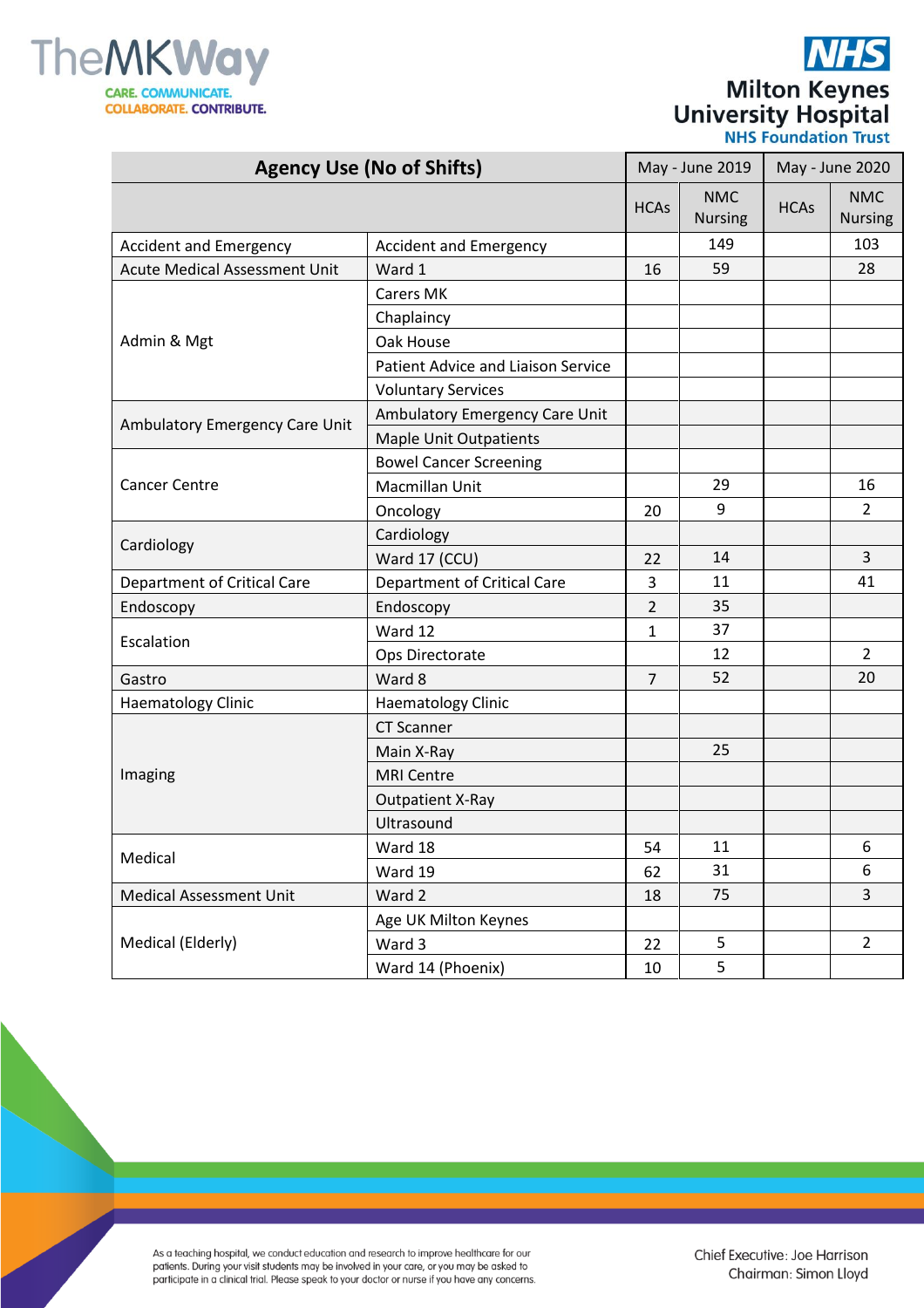

|                            | <b>NHS</b>                  |
|----------------------------|-----------------------------|
|                            | <b>Milton Keynes</b>        |
| <b>University Hospital</b> | <b>NHS Foundation Trust</b> |

| <b>Agency Use (No of Shifts)</b>     |                                           | May - June 2019 |                              | May - June 2020 |                              |
|--------------------------------------|-------------------------------------------|-----------------|------------------------------|-----------------|------------------------------|
|                                      |                                           | <b>HCAs</b>     | <b>NMC</b><br><b>Nursing</b> | <b>HCAs</b>     | <b>NMC</b><br><b>Nursing</b> |
| <b>Accident and Emergency</b>        | <b>Accident and Emergency</b>             |                 | 149                          |                 | 103                          |
| <b>Acute Medical Assessment Unit</b> | Ward 1                                    | 16              | 59                           |                 | 28                           |
|                                      | <b>Carers MK</b>                          |                 |                              |                 |                              |
|                                      | Chaplaincy                                |                 |                              |                 |                              |
| Admin & Mgt                          | Oak House                                 |                 |                              |                 |                              |
|                                      | <b>Patient Advice and Liaison Service</b> |                 |                              |                 |                              |
|                                      | <b>Voluntary Services</b>                 |                 |                              |                 |                              |
|                                      | Ambulatory Emergency Care Unit            |                 |                              |                 |                              |
| Ambulatory Emergency Care Unit       | <b>Maple Unit Outpatients</b>             |                 |                              |                 |                              |
|                                      | <b>Bowel Cancer Screening</b>             |                 |                              |                 |                              |
| <b>Cancer Centre</b>                 | Macmillan Unit                            |                 | 29                           |                 | 16                           |
|                                      | Oncology                                  | 20              | 9                            |                 | 2                            |
|                                      | Cardiology                                |                 |                              |                 |                              |
| Cardiology                           | Ward 17 (CCU)                             | 22              | 14                           |                 | 3                            |
| Department of Critical Care          | <b>Department of Critical Care</b>        | 3               | 11                           |                 | 41                           |
| Endoscopy                            | Endoscopy                                 | $\overline{2}$  | 35                           |                 |                              |
| Escalation                           | Ward 12                                   | 1               | 37                           |                 |                              |
|                                      | Ops Directorate                           |                 | 12                           |                 | $\overline{2}$               |
| Gastro                               | Ward 8                                    | $\overline{7}$  | 52                           |                 | 20                           |
| <b>Haematology Clinic</b>            | <b>Haematology Clinic</b>                 |                 |                              |                 |                              |
|                                      | <b>CT Scanner</b>                         |                 |                              |                 |                              |
| Imaging                              | Main X-Ray                                |                 | 25                           |                 |                              |
|                                      | <b>MRI Centre</b>                         |                 |                              |                 |                              |
|                                      | <b>Outpatient X-Ray</b>                   |                 |                              |                 |                              |
|                                      | Ultrasound                                |                 |                              |                 |                              |
|                                      | Ward 18                                   | 54              | 11                           |                 | 6                            |
| Medical                              | Ward 19                                   | 62              | 31                           |                 | 6                            |
| <b>Medical Assessment Unit</b>       | Ward 2                                    | 18              | 75                           |                 | 3                            |
|                                      | Age UK Milton Keynes                      |                 |                              |                 |                              |
| Medical (Elderly)                    | Ward 3                                    | 22              | 5                            |                 | $\overline{2}$               |
|                                      | Ward 14 (Phoenix)                         | 10              | 5                            |                 |                              |

As a teaching hospital, we conduct education and research to improve healthcare for our<br>patients. During your visit students may be involved in your care, or you may be asked to<br>participate in a clinical trial. Please spea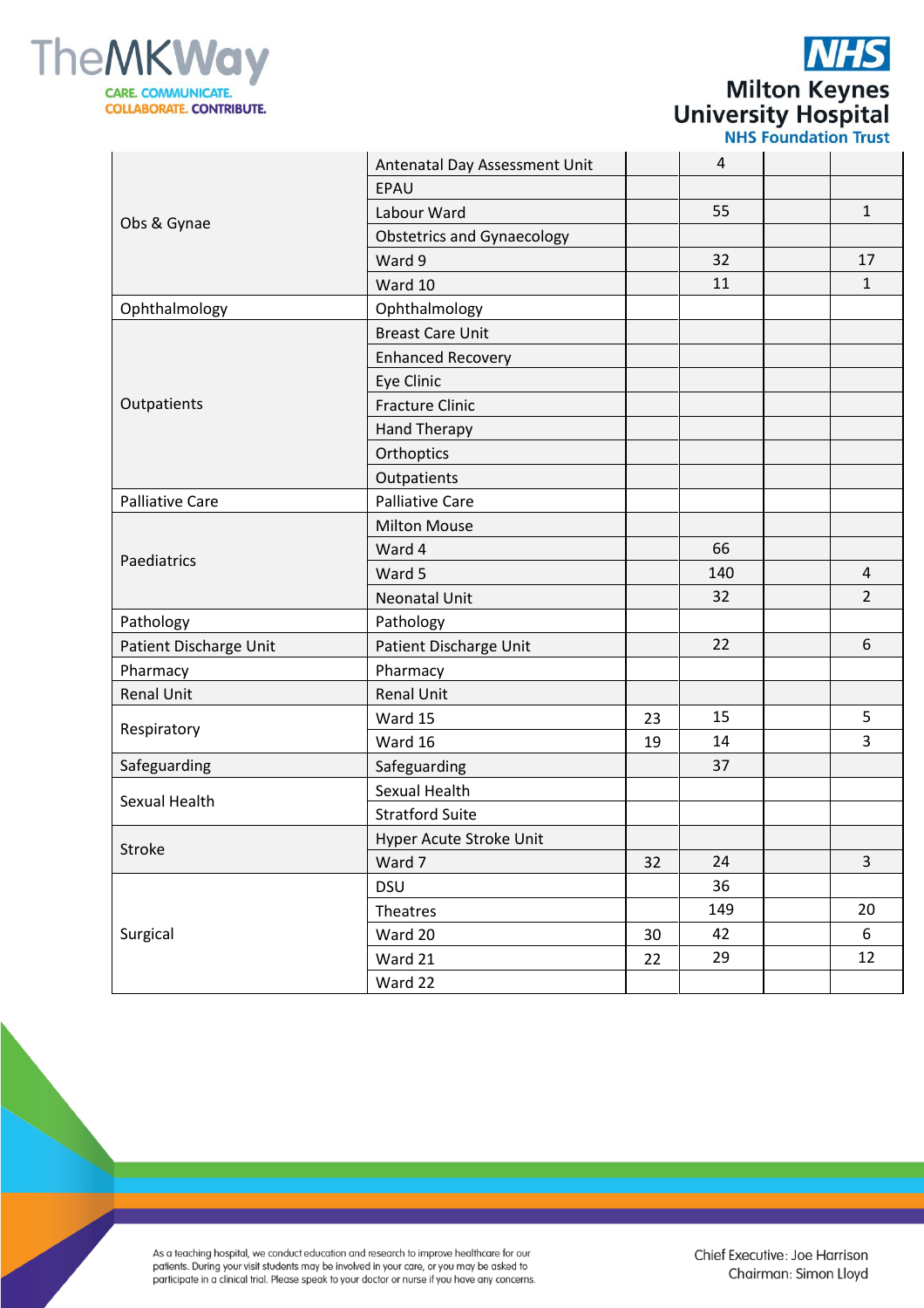

Surgical

**Milton Keynes**<br>University Hospital<br>
NHS Foundation Trust

|                        |                                   |    |     | <b>ITIL INDIANALIST III.</b> |                         |
|------------------------|-----------------------------------|----|-----|------------------------------|-------------------------|
| Obs & Gynae            | Antenatal Day Assessment Unit     |    | 4   |                              |                         |
|                        | EPAU                              |    |     |                              |                         |
|                        | Labour Ward                       |    | 55  |                              | $\mathbf{1}$            |
|                        | <b>Obstetrics and Gynaecology</b> |    |     |                              |                         |
|                        | Ward 9                            |    | 32  |                              | 17                      |
|                        | Ward 10                           |    | 11  |                              | $\mathbf{1}$            |
| Ophthalmology          | Ophthalmology                     |    |     |                              |                         |
|                        | <b>Breast Care Unit</b>           |    |     |                              |                         |
|                        | <b>Enhanced Recovery</b>          |    |     |                              |                         |
|                        | Eye Clinic                        |    |     |                              |                         |
| Outpatients            | <b>Fracture Clinic</b>            |    |     |                              |                         |
|                        | Hand Therapy                      |    |     |                              |                         |
|                        | Orthoptics                        |    |     |                              |                         |
|                        | Outpatients                       |    |     |                              |                         |
| <b>Palliative Care</b> | <b>Palliative Care</b>            |    |     |                              |                         |
|                        | <b>Milton Mouse</b>               |    |     |                              |                         |
| Paediatrics            | Ward 4                            |    | 66  |                              |                         |
|                        | Ward 5                            |    | 140 |                              | $\overline{\mathbf{4}}$ |
|                        | <b>Neonatal Unit</b>              |    | 32  |                              | $\overline{2}$          |
| Pathology              | Pathology                         |    |     |                              |                         |
| Patient Discharge Unit | Patient Discharge Unit            |    | 22  |                              | 6                       |
| Pharmacy               | Pharmacy                          |    |     |                              |                         |
| <b>Renal Unit</b>      | <b>Renal Unit</b>                 |    |     |                              |                         |
| Respiratory            | Ward 15                           | 23 | 15  |                              | 5                       |
|                        | Ward 16                           | 19 | 14  |                              | 3                       |
| Safeguarding           | Safeguarding                      |    | 37  |                              |                         |
| Sexual Health          | Sexual Health                     |    |     |                              |                         |
|                        | <b>Stratford Suite</b>            |    |     |                              |                         |
| Stroke                 | Hyper Acute Stroke Unit           |    |     |                              |                         |
|                        | Ward 7                            | 32 | 24  |                              | 3                       |
|                        | <b>DSU</b>                        |    | 36  |                              |                         |
|                        | Theatres                          |    | 149 |                              | 20                      |

 $30\,$ 

22

42

29

6

 $12$ 

As a teaching hospital, we conduct education and research to improve healthcare for our participate in a climate we constant and be involved in your care, or you may be asked to<br>participate in a clinical trial. Please speak to your doctor or nurse if you have any concerns.

Ward 20

Ward 21

Ward 22

Chief Executive: Joe Harrison Chairman: Simon Lloyd